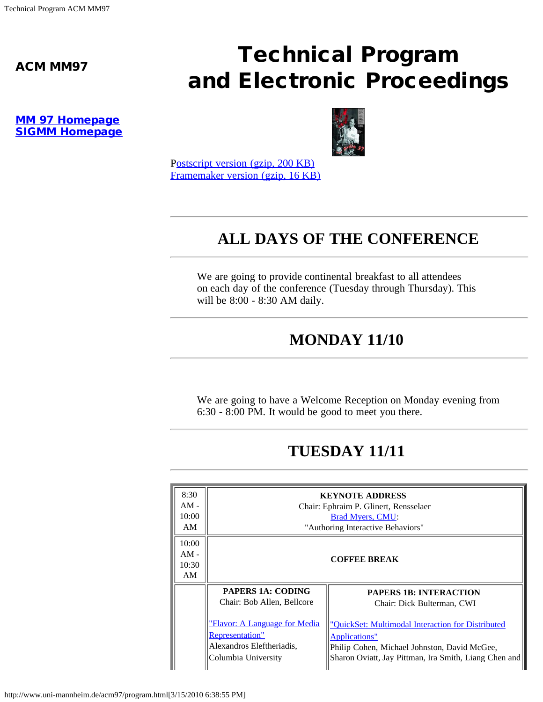# ACM MM97 **Technical Program** and Electronic Proceedings

[MM 97 Homepage](http://www.uni-mannheim.de/acm97/index.html) [SIGMM Homepage](http://www.acm.org/sigmm/)



P[ostscript version \(gzip, 200 KB\)](http://www.uni-mannheim.de/acm97/program.frm.ps.gz) [Framemaker version \(gzip, 16 KB\)](http://www.uni-mannheim.de/acm97/program.frm.gz) 

### **ALL DAYS OF THE CONFERENCE**

We are going to provide continental breakfast to all attendees on each day of the conference (Tuesday through Thursday). This will be 8:00 - 8:30 AM daily.

#### **MONDAY 11/10**

We are going to have a Welcome Reception on Monday evening from 6:30 - 8:00 PM. It would be good to meet you there.

#### **TUESDAY 11/11**

| 8:30   | <b>KEYNOTE ADDRESS</b>                                                                                             |                                                                                                                                                                                    |
|--------|--------------------------------------------------------------------------------------------------------------------|------------------------------------------------------------------------------------------------------------------------------------------------------------------------------------|
| $AM -$ | Chair: Ephraim P. Glinert, Rensselaer                                                                              |                                                                                                                                                                                    |
| 10:00  | Brad Myers, CMU:                                                                                                   |                                                                                                                                                                                    |
| AM     | "Authoring Interactive Behaviors"                                                                                  |                                                                                                                                                                                    |
| 10:00  |                                                                                                                    |                                                                                                                                                                                    |
| $AM -$ | <b>COFFEE BREAK</b>                                                                                                |                                                                                                                                                                                    |
| 10:30  |                                                                                                                    |                                                                                                                                                                                    |
| AM     |                                                                                                                    |                                                                                                                                                                                    |
|        | <b>PAPERS 1A: CODING</b>                                                                                           | <b>PAPERS 1B: INTERACTION</b>                                                                                                                                                      |
|        | Chair: Bob Allen, Bellcore                                                                                         | Chair: Dick Bulterman, CWI                                                                                                                                                         |
|        | <u>"Flavor: A Language for Media</u><br><b>Representation"</b><br>Alexandros Eleftheriadis,<br>Columbia University | "OuickSet: Multimodal Interaction for Distributed<br><b>Applications"</b><br>Philip Cohen, Michael Johnston, David McGee,<br>Sharon Oviatt, Jay Pittman, Ira Smith, Liang Chen and |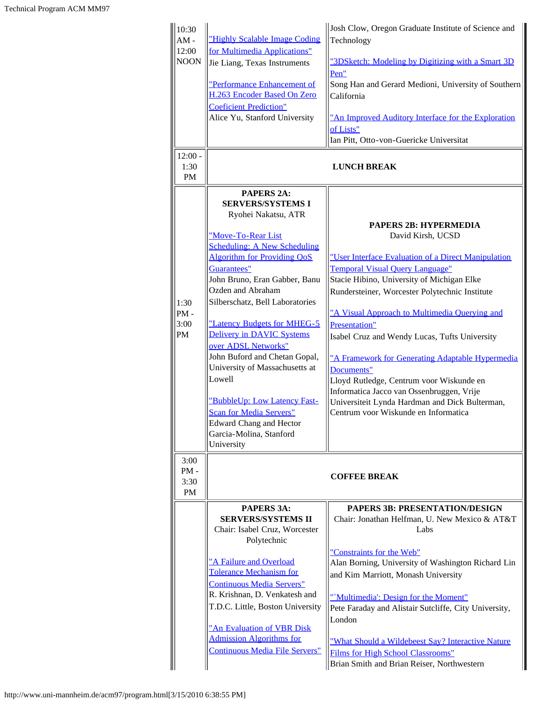| 10:30<br>$AM -$<br>12:00       | "Highly Scalable Image Coding<br>for Multimedia Applications"                               | Josh Clow, Oregon Graduate Institute of Science and<br>Technology                             |
|--------------------------------|---------------------------------------------------------------------------------------------|-----------------------------------------------------------------------------------------------|
| <b>NOON</b>                    | Jie Liang, Texas Instruments                                                                | "3DSketch: Modeling by Digitizing with a Smart 3D<br>Pen"                                     |
|                                | "Performance Enhancement of<br>H.263 Encoder Based On Zero<br><b>Coeficient Prediction"</b> | Song Han and Gerard Medioni, University of Southern<br>California                             |
|                                | Alice Yu, Stanford University                                                               | "An Improved Auditory Interface for the Exploration<br>of Lists"                              |
|                                |                                                                                             | Ian Pitt, Otto-von-Guericke Universitat                                                       |
| $12:00 -$<br>1:30<br><b>PM</b> | <b>LUNCH BREAK</b>                                                                          |                                                                                               |
|                                | <b>PAPERS 2A:</b><br><b>SERVERS/SYSTEMS I</b><br>Ryohei Nakatsu, ATR                        |                                                                                               |
|                                |                                                                                             | <b>PAPERS 2B: HYPERMEDIA</b>                                                                  |
|                                | "Move-To-Rear List<br><b>Scheduling: A New Scheduling</b>                                   | David Kirsh, UCSD                                                                             |
|                                | <b>Algorithm for Providing QoS</b>                                                          | "User Interface Evaluation of a Direct Manipulation                                           |
|                                | Guarantees"                                                                                 | <b>Temporal Visual Query Language"</b>                                                        |
|                                | John Bruno, Eran Gabber, Banu                                                               | Stacie Hibino, University of Michigan Elke                                                    |
| 1:30                           | Ozden and Abraham<br>Silberschatz, Bell Laboratories                                        | Rundersteiner, Worcester Polytechnic Institute                                                |
| $PM -$                         |                                                                                             | "A Visual Approach to Multimedia Querying and                                                 |
| 3:00                           | "Latency Budgets for MHEG-5                                                                 | Presentation"                                                                                 |
| <b>PM</b>                      | Delivery in DAVIC Systems                                                                   | Isabel Cruz and Wendy Lucas, Tufts University                                                 |
|                                | over ADSL Networks"<br>John Buford and Chetan Gopal,                                        |                                                                                               |
|                                | University of Massachusetts at                                                              | "A Framework for Generating Adaptable Hypermedia<br>Documents"                                |
|                                | Lowell                                                                                      | Lloyd Rutledge, Centrum voor Wiskunde en                                                      |
|                                |                                                                                             | Informatica Jacco van Ossenbruggen, Vrije                                                     |
|                                | "BubbleUp: Low Latency Fast-                                                                | Universiteit Lynda Hardman and Dick Bulterman,                                                |
|                                | <b>Scan for Media Servers"</b><br><b>Edward Chang and Hector</b>                            | Centrum voor Wiskunde en Informatica                                                          |
|                                | Garcia-Molina, Stanford                                                                     |                                                                                               |
|                                | University                                                                                  |                                                                                               |
| 3:00                           |                                                                                             |                                                                                               |
| $PM -$<br>3:30                 | <b>COFFEE BREAK</b>                                                                         |                                                                                               |
| <b>PM</b>                      |                                                                                             |                                                                                               |
|                                | PAPERS 3A:                                                                                  | <b>PAPERS 3B: PRESENTATION/DESIGN</b>                                                         |
|                                | <b>SERVERS/SYSTEMS II</b>                                                                   | Chair: Jonathan Helfman, U. New Mexico & AT&T                                                 |
|                                | Chair: Isabel Cruz, Worcester<br>Polytechnic                                                | Labs                                                                                          |
|                                |                                                                                             | "Constraints for the Web"                                                                     |
|                                | "A Failure and Overload                                                                     | Alan Borning, University of Washington Richard Lin                                            |
|                                | Tolerance Mechanism for                                                                     | and Kim Marriott, Monash University                                                           |
|                                | <b>Continuous Media Servers"</b><br>R. Krishnan, D. Venkatesh and                           |                                                                                               |
|                                | T.D.C. Little, Boston University                                                            | "Multimedia': Design for the Moment"<br>Pete Faraday and Alistair Sutcliffe, City University, |
|                                |                                                                                             | London                                                                                        |
|                                | "An Evaluation of VBR Disk                                                                  |                                                                                               |
|                                | <b>Admission Algorithms for</b><br><b>Continuous Media File Servers"</b>                    | "What Should a Wildebeest Say? Interactive Nature                                             |
|                                |                                                                                             | <b>Films for High School Classrooms"</b><br>Brian Smith and Brian Reiser, Northwestern        |
|                                |                                                                                             |                                                                                               |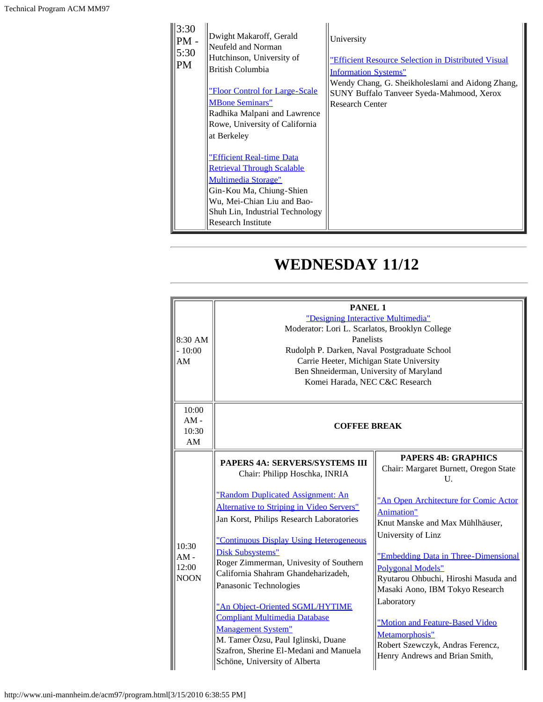| 3:30<br>$PM -$<br>5:30<br><b>PM</b> | Dwight Makaroff, Gerald<br>Neufeld and Norman<br>Hutchinson, University of<br>British Columbia<br><u>"Floor Control for Large-Scale</u><br><b>MBone Seminars"</b><br>Radhika Malpani and Lawrence<br>Rowe, University of California<br>at Berkeley<br><b>"Efficient Real-time Data</b><br><b>Retrieval Through Scalable</b><br><b>Multimedia Storage"</b><br>Gin-Kou Ma, Chiung-Shien<br>Wu, Mei-Chian Liu and Bao-<br>Shuh Lin, Industrial Technology<br><b>Research Institute</b> | University<br>"Efficient Resource Selection in Distributed Visual<br><b>Information Systems"</b><br>Wendy Chang, G. Sheikholeslami and Aidong Zhang,<br>SUNY Buffalo Tanveer Syeda-Mahmood, Xerox<br><b>Research Center</b> |
|-------------------------------------|-------------------------------------------------------------------------------------------------------------------------------------------------------------------------------------------------------------------------------------------------------------------------------------------------------------------------------------------------------------------------------------------------------------------------------------------------------------------------------------|-----------------------------------------------------------------------------------------------------------------------------------------------------------------------------------------------------------------------------|
|-------------------------------------|-------------------------------------------------------------------------------------------------------------------------------------------------------------------------------------------------------------------------------------------------------------------------------------------------------------------------------------------------------------------------------------------------------------------------------------------------------------------------------------|-----------------------------------------------------------------------------------------------------------------------------------------------------------------------------------------------------------------------------|

## **WEDNESDAY 11/12**

| 8:30 AM<br>$-10:00$<br>AM               | <b>PANEL 1</b><br>"Designing Interactive Multimedia"<br>Moderator: Lori L. Scarlatos, Brooklyn College<br>Panelists<br>Rudolph P. Darken, Naval Postgraduate School<br>Carrie Heeter, Michigan State University<br>Ben Shneiderman, University of Maryland<br>Komei Harada, NEC C&C Research                                                                                                                                                                                                                                                                                                                           |                                                                                                                                                                                                                                                                                                                                                                                                                                                                                          |
|-----------------------------------------|------------------------------------------------------------------------------------------------------------------------------------------------------------------------------------------------------------------------------------------------------------------------------------------------------------------------------------------------------------------------------------------------------------------------------------------------------------------------------------------------------------------------------------------------------------------------------------------------------------------------|------------------------------------------------------------------------------------------------------------------------------------------------------------------------------------------------------------------------------------------------------------------------------------------------------------------------------------------------------------------------------------------------------------------------------------------------------------------------------------------|
| 10:00<br>$AM -$<br>10:30<br>AM          | <b>COFFEE BREAK</b>                                                                                                                                                                                                                                                                                                                                                                                                                                                                                                                                                                                                    |                                                                                                                                                                                                                                                                                                                                                                                                                                                                                          |
| 10:30<br>$AM -$<br>12:00<br><b>NOON</b> | <b>PAPERS 4A: SERVERS/SYSTEMS III</b><br>Chair: Philipp Hoschka, INRIA<br>"Random Duplicated Assignment: An<br><b>Alternative to Striping in Video Servers"</b><br>Jan Korst, Philips Research Laboratories<br>"Continuous Display Using Heterogeneous<br><b>Disk Subsystems"</b><br>Roger Zimmerman, Univesity of Southern<br>California Shahram Ghandeharizadeh,<br>Panasonic Technologies<br>"An Object-Oriented SGML/HYTIME<br><b>Compliant Multimedia Database</b><br><b>Management System"</b><br>M. Tamer Özsu, Paul Iglinski, Duane<br>Szafron, Sherine El-Medani and Manuela<br>Schöne, University of Alberta | <b>PAPERS 4B: GRAPHICS</b><br>Chair: Margaret Burnett, Oregon State<br>U.<br>"An Open Architecture for Comic Actor<br><b>Animation"</b><br>Knut Manske and Max Mühlhäuser,<br>University of Linz<br>"Embedding Data in Three-Dimensional<br><b>Polygonal Models"</b><br>Ryutarou Ohbuchi, Hiroshi Masuda and<br>Masaki Aono, IBM Tokyo Research<br>Laboratory<br>"Motion and Feature-Based Video<br>Metamorphosis"<br>Robert Szewczyk, Andras Ferencz,<br>Henry Andrews and Brian Smith, |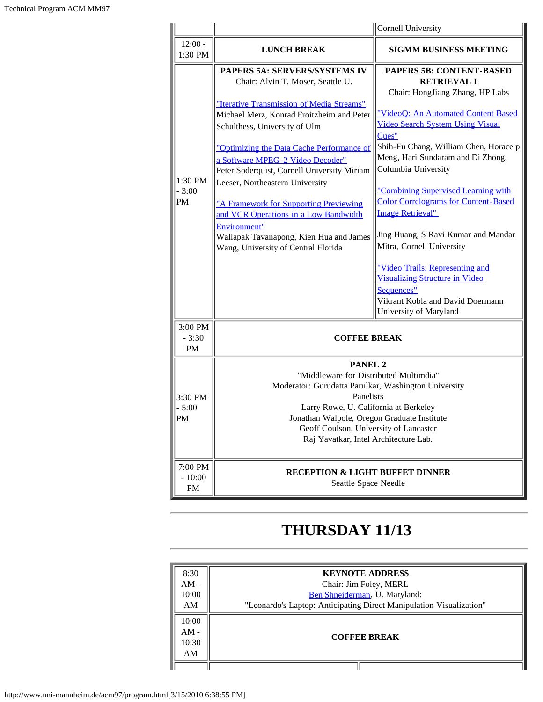|                                   |                                                                                                                                                                                                                                                                                                                                                                                                                                                                                                                                                       | Cornell University                                                                                                                                                                                                                                                                                                                                                                                                                                                                                                                                                                                                                    |
|-----------------------------------|-------------------------------------------------------------------------------------------------------------------------------------------------------------------------------------------------------------------------------------------------------------------------------------------------------------------------------------------------------------------------------------------------------------------------------------------------------------------------------------------------------------------------------------------------------|---------------------------------------------------------------------------------------------------------------------------------------------------------------------------------------------------------------------------------------------------------------------------------------------------------------------------------------------------------------------------------------------------------------------------------------------------------------------------------------------------------------------------------------------------------------------------------------------------------------------------------------|
| $12:00 -$<br>1:30 PM              | <b>LUNCH BREAK</b>                                                                                                                                                                                                                                                                                                                                                                                                                                                                                                                                    | <b>SIGMM BUSINESS MEETING</b>                                                                                                                                                                                                                                                                                                                                                                                                                                                                                                                                                                                                         |
| $1:30$ PM<br>$-3:00$<br>PM        | PAPERS 5A: SERVERS/SYSTEMS IV<br>Chair: Alvin T. Moser, Seattle U.<br>"Iterative Transmission of Media Streams"<br>Michael Merz, Konrad Froitzheim and Peter<br>Schulthess, University of Ulm<br>"Optimizing the Data Cache Performance of<br>a Software MPEG-2 Video Decoder"<br>Peter Soderquist, Cornell University Miriam<br>Leeser, Northeastern University<br>"A Framework for Supporting Previewing<br>and VCR Operations in a Low Bandwidth<br>Environment"<br>Wallapak Tavanapong, Kien Hua and James<br>Wang, University of Central Florida | <b>PAPERS 5B: CONTENT-BASED</b><br><b>RETRIEVAL I</b><br>Chair: HongJiang Zhang, HP Labs<br>"VideoQ: An Automated Content Based<br><b>Video Search System Using Visual</b><br>Cues"<br>Shih-Fu Chang, William Chen, Horace p<br>Meng, Hari Sundaram and Di Zhong,<br>Columbia University<br>"Combining Supervised Learning with<br><b>Color Correlograms for Content-Based</b><br><b>Image Retrieval"</b><br>Jing Huang, S Ravi Kumar and Mandar<br>Mitra, Cornell University<br>"Video Trails: Representing and<br><b>Visualizing Structure in Video</b><br>Sequences"<br>Vikrant Kobla and David Doermann<br>University of Maryland |
| $3:00$ PM<br>$-3:30$<br><b>PM</b> | <b>COFFEE BREAK</b>                                                                                                                                                                                                                                                                                                                                                                                                                                                                                                                                   |                                                                                                                                                                                                                                                                                                                                                                                                                                                                                                                                                                                                                                       |
| 3:30 PM<br>$-5:00$<br>PM          | <b>PANEL 2</b><br>"Middleware for Distributed Multimdia"<br>Moderator: Gurudatta Parulkar, Washington University<br>Panelists<br>Larry Rowe, U. California at Berkeley<br>Jonathan Walpole, Oregon Graduate Institute<br>Geoff Coulson, University of Lancaster<br>Raj Yavatkar, Intel Architecture Lab.                                                                                                                                                                                                                                              |                                                                                                                                                                                                                                                                                                                                                                                                                                                                                                                                                                                                                                       |
| 7:00 PM<br>$-10:00$<br>PM         | <b>RECEPTION &amp; LIGHT BUFFET DINNER</b><br>Seattle Space Needle                                                                                                                                                                                                                                                                                                                                                                                                                                                                                    |                                                                                                                                                                                                                                                                                                                                                                                                                                                                                                                                                                                                                                       |

## **THURSDAY 11/13**

| 8:30   | <b>KEYNOTE ADDRESS</b>                                              |  |
|--------|---------------------------------------------------------------------|--|
| $AM -$ | Chair: Jim Foley, MERL                                              |  |
| 10:00  | Ben Shneiderman, U. Maryland:                                       |  |
| AM     | "Leonardo's Laptop: Anticipating Direct Manipulation Visualization" |  |
| 10:00  |                                                                     |  |
| $AM -$ |                                                                     |  |
| 10:30  | <b>COFFEE BREAK</b>                                                 |  |
| AM     |                                                                     |  |
|        |                                                                     |  |